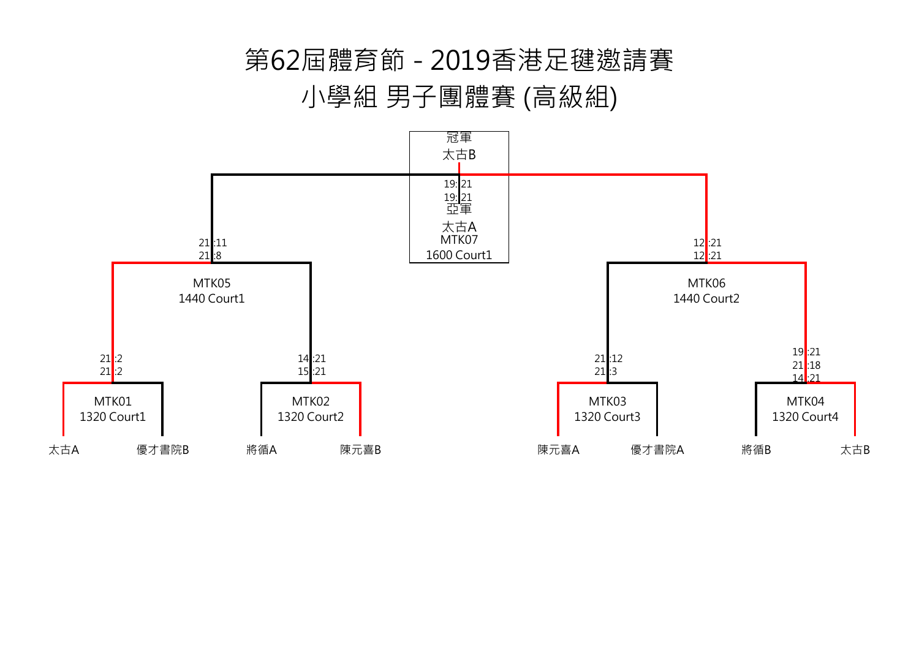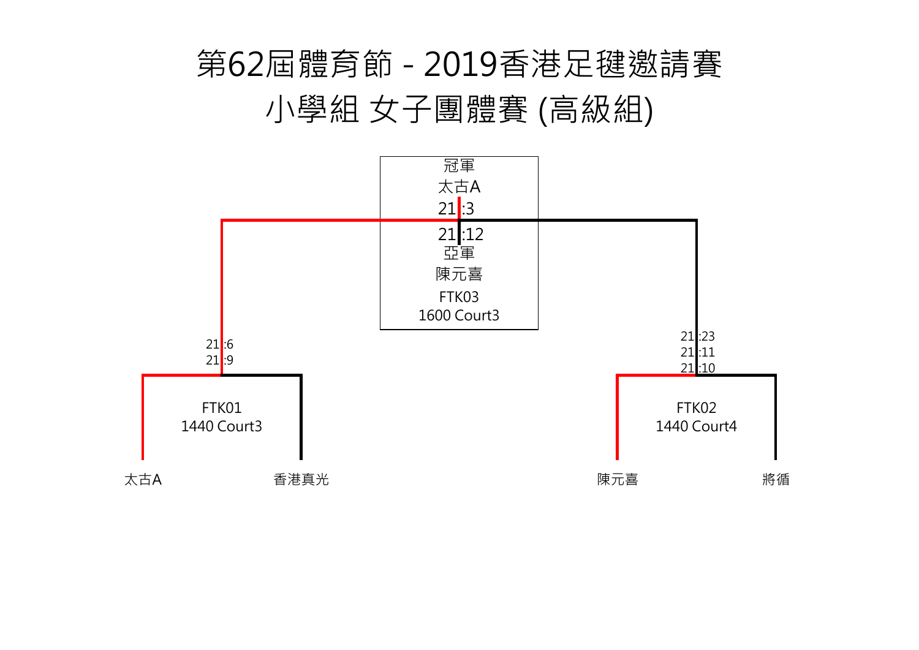



## 第62屆體育節 - 2019香港足毽邀請賽 小學組 女子團體賽 (高級組)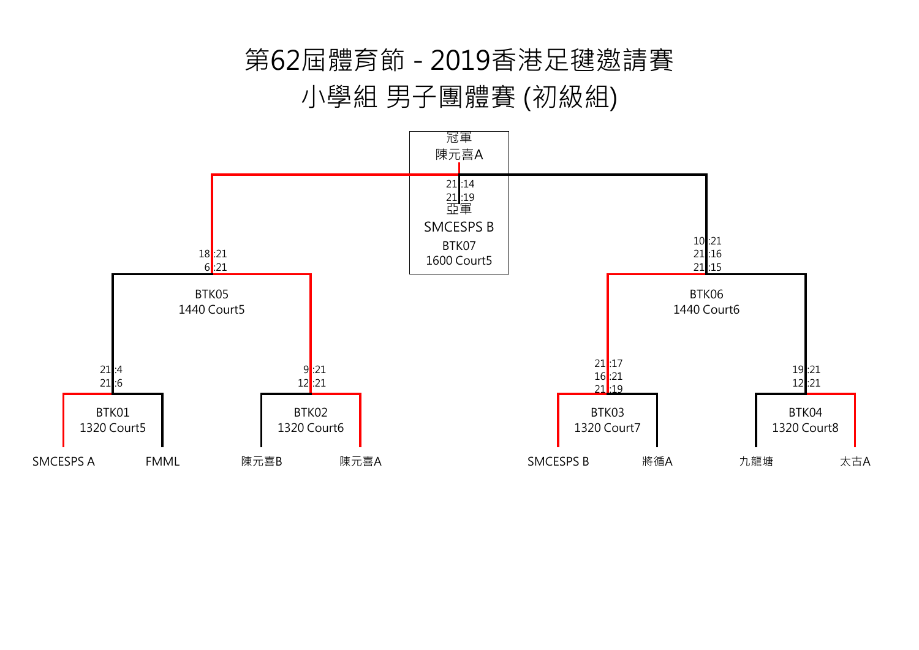## 第62屆體育節 - 2019香港足毽邀請賽 小學組 男子團體賽 (初級組)

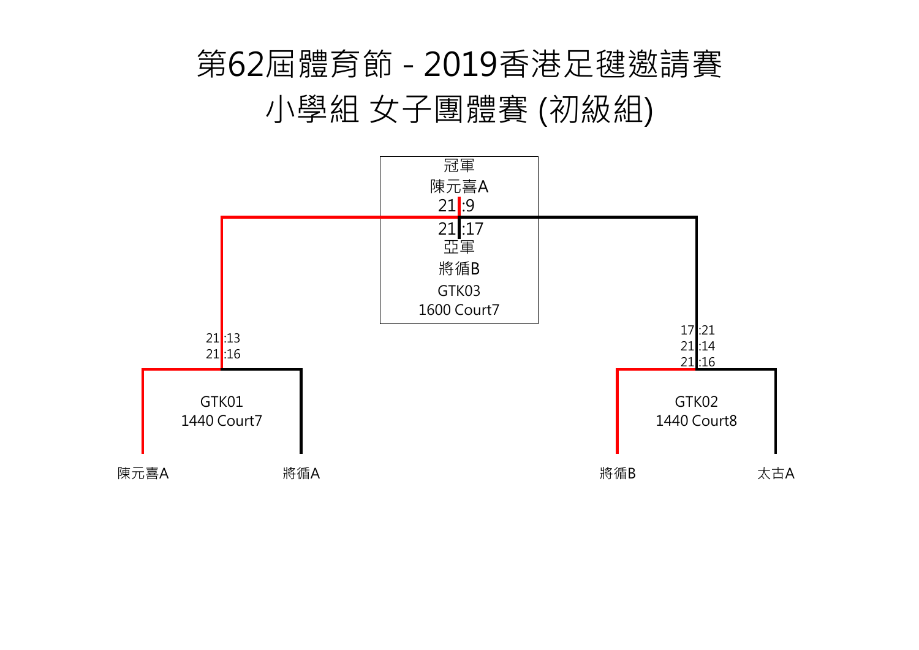17 :21 21 :14 21 :16 GTK02 1440 Court8





## 第62屆體育節 - 2019香港足毽邀請賽 小學組 女子團體賽 (初級組)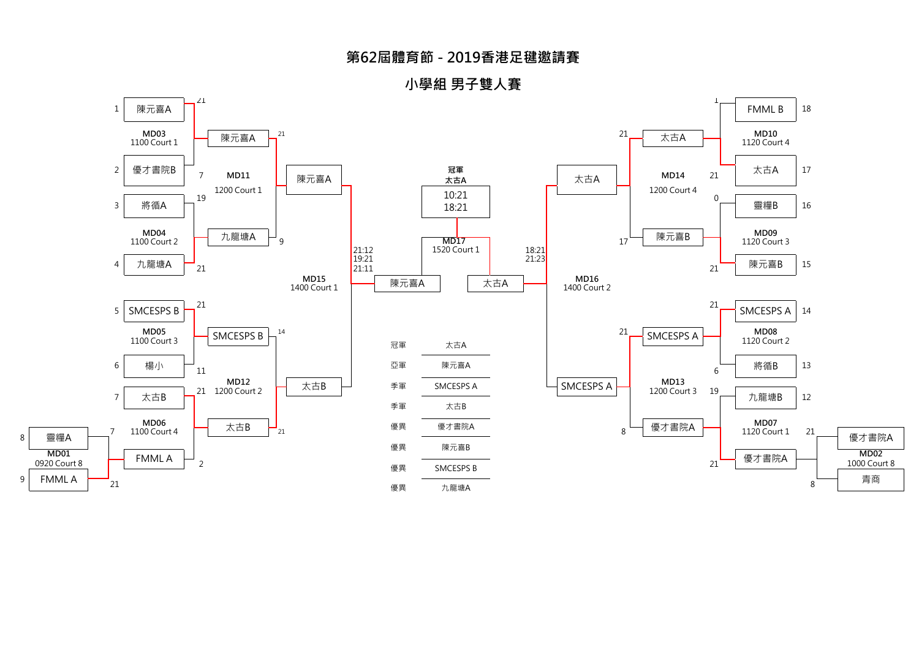8



**小學組 男子雙人賽**